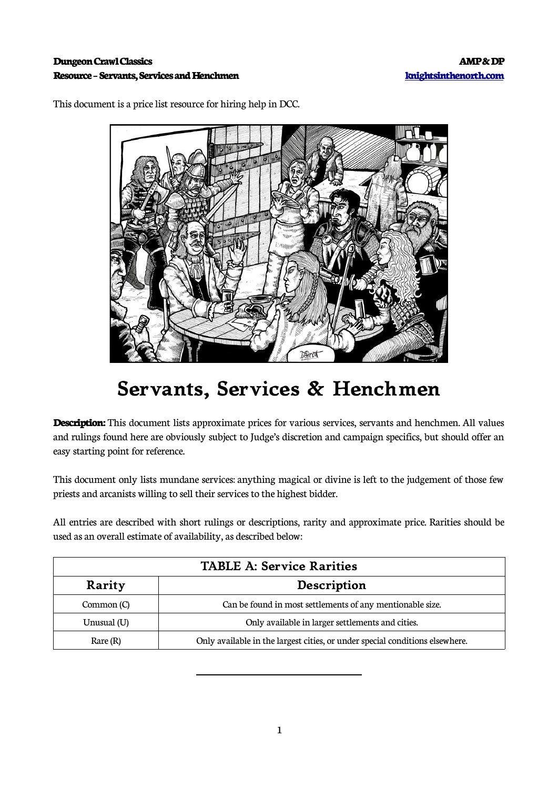## **Dungeon Crawl Classics AMP & DP Resource – Servants, Services and Henchmen [knightsinthenorth.com](http://knightsinthenorth.com/)**

This document is a price list resource for hiring help in DCC.



## **Servants, Services & Henchmen**

**Description:** This document lists approximate prices for various services, servants and henchmen. All values and rulings found here are obviously subject to Judge's discretion and campaign specifics, but should offer an easy starting point for reference.

This document only lists mundane services: anything magical or divine is left to the judgement of those few priests and arcanists willing to sell their services to the highest bidder.

All entries are described with short rulings or descriptions, rarity and approximate price. Rarities should be used as an overall estimate of availability, as described below:

| <b>TABLE A: Service Rarities</b> |                                                                              |  |  |
|----------------------------------|------------------------------------------------------------------------------|--|--|
| Description<br>Rarity            |                                                                              |  |  |
| Common (C)                       | Can be found in most settlements of any mentionable size.                    |  |  |
| Unusual (U)                      | Only available in larger settlements and cities.                             |  |  |
| Rare (R)                         | Only available in the largest cities, or under special conditions elsewhere. |  |  |

 $\overline{a}$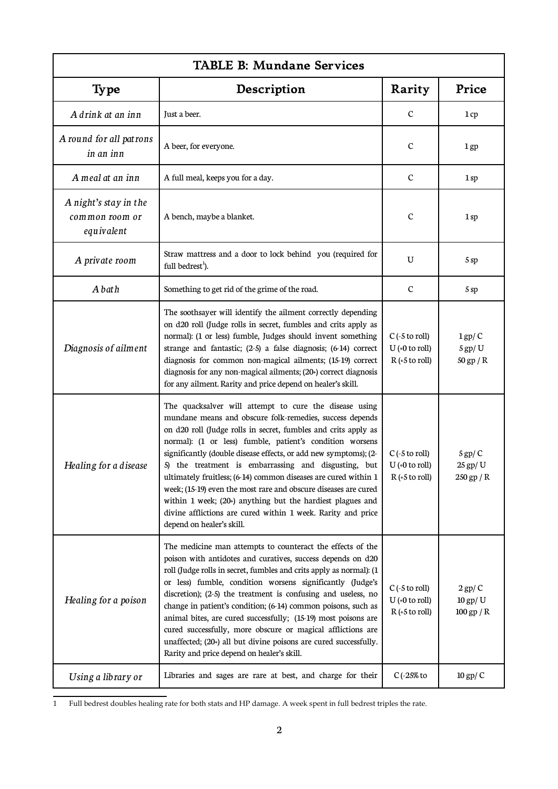| <b>TABLE B: Mundane Services</b>                      |                                                                                                                                                                                                                                                                                                                                                                                                                                                                                                                                                                                                                                                                                 |                                                          |                                       |
|-------------------------------------------------------|---------------------------------------------------------------------------------------------------------------------------------------------------------------------------------------------------------------------------------------------------------------------------------------------------------------------------------------------------------------------------------------------------------------------------------------------------------------------------------------------------------------------------------------------------------------------------------------------------------------------------------------------------------------------------------|----------------------------------------------------------|---------------------------------------|
| <b>Type</b>                                           | Description                                                                                                                                                                                                                                                                                                                                                                                                                                                                                                                                                                                                                                                                     | Rarity                                                   | Price                                 |
| A drink at an inn                                     | Just a beer.                                                                                                                                                                                                                                                                                                                                                                                                                                                                                                                                                                                                                                                                    | $\mathbf C$                                              | 1cp                                   |
| A round for all patrons<br>in an inn                  | A beer, for everyone.                                                                                                                                                                                                                                                                                                                                                                                                                                                                                                                                                                                                                                                           | $\mathbf C$                                              | 1 <sub>gp</sub>                       |
| A meal at an inn                                      | A full meal, keeps you for a day.                                                                                                                                                                                                                                                                                                                                                                                                                                                                                                                                                                                                                                               | $\mathbf C$                                              | 1 sp                                  |
| A night's stay in the<br>common room or<br>equivalent | A bench, maybe a blanket.                                                                                                                                                                                                                                                                                                                                                                                                                                                                                                                                                                                                                                                       | $\mathbf C$                                              | 1sp                                   |
| A private room                                        | Straw mattress and a door to lock behind you (required for<br>full bedrest <sup>1</sup> ).                                                                                                                                                                                                                                                                                                                                                                                                                                                                                                                                                                                      | U                                                        | 5 sp                                  |
| A bath                                                | Something to get rid of the grime of the road.                                                                                                                                                                                                                                                                                                                                                                                                                                                                                                                                                                                                                                  | $\mathcal{C}$                                            | 5 sp                                  |
| Diagnosis of ailment                                  | The soothsayer will identify the ailment correctly depending<br>on d20 roll (Judge rolls in secret, fumbles and crits apply as<br>normal): (1 or less) fumble, Judges should invent something<br>strange and fantastic; (2-5) a false diagnosis; (6-14) correct<br>diagnosis for common non-magical ailments; (15-19) correct<br>diagnosis for any non-magical ailments; (20+) correct diagnosis<br>for any ailment. Rarity and price depend on healer's skill.                                                                                                                                                                                                                 | $C$ (-5 to roll)<br>$U$ (+0 to roll)<br>$R (+5 to roll)$ | $1$ gp/ $C$<br>$5$ gp/U<br>50 gp / R  |
| Healing for a disease                                 | The quacksalver will attempt to cure the disease using<br>mundane means and obscure folk-remedies, success depends<br>on d20 roll (Judge rolls in secret, fumbles and crits apply as<br>normal): (1 or less) fumble, patient's condition worsens<br>significantly (double disease effects, or add new symptoms); (2-<br>5) the treatment is embarrassing and disgusting, but<br>ultimately fruitless; (6-14) common diseases are cured within 1<br>week; (15-19) even the most rare and obscure diseases are cured<br>within 1 week; $(20+)$ anything but the hardiest plagues and<br>divine afflictions are cured within 1 week. Rarity and price<br>depend on healer's skill. | $C$ (-5 to roll)<br>$U$ (+0 to roll)<br>$R (+5 to roll)$ | $5$ gp/ $C$<br>25 gp/ U<br>250 gp / R |
| Healing for a poison                                  | The medicine man attempts to counteract the effects of the<br>poison with antidotes and curatives, success depends on d20<br>roll (Judge rolls in secret, fumbles and crits apply as normal): (1<br>or less) fumble, condition worsens significantly (Judge's<br>discretion); (2-5) the treatment is confusing and useless, no<br>change in patient's condition; (6-14) common poisons, such as<br>animal bites, are cured successfully; (15-19) most poisons are<br>cured successfully, more obscure or magical afflictions are<br>unaffected; (20+) all but divine poisons are cured successfully.<br>Rarity and price depend on healer's skill.                              | $C$ (-5 to roll)<br>$U$ (+0 to roll)<br>$R (+5 to roll)$ | $2$ gp/ $C$<br>10 gp/ U<br>100 gp / R |
| Using a library or                                    | Libraries and sages are rare at best, and charge for their                                                                                                                                                                                                                                                                                                                                                                                                                                                                                                                                                                                                                      | $C$ (-25% to                                             | $10$ gp/ $C$                          |

<span id="page-1-0"></span><sup>1</sup> Full bedrest doubles healing rate for both stats and HP damage. A week spent in full bedrest triples the rate.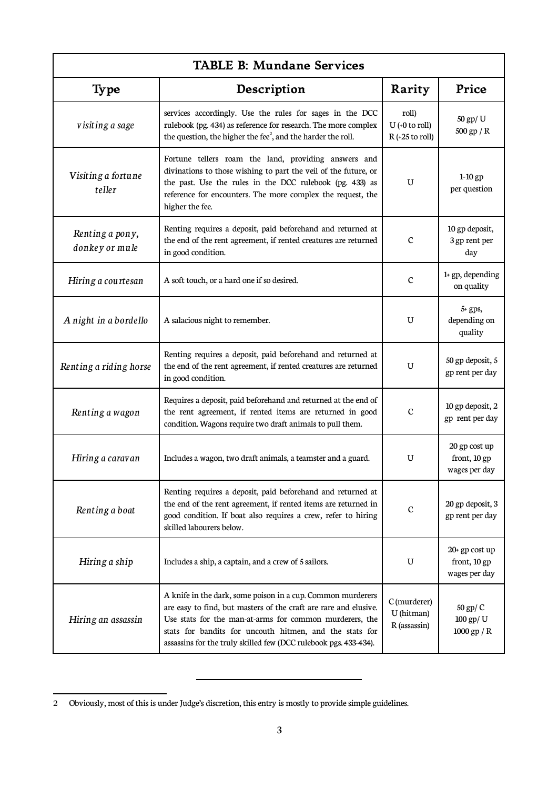| <b>TABLE B: Mundane Services</b>  |                                                                                                                                                                                                                                                                                                                           |                                                |                                                 |
|-----------------------------------|---------------------------------------------------------------------------------------------------------------------------------------------------------------------------------------------------------------------------------------------------------------------------------------------------------------------------|------------------------------------------------|-------------------------------------------------|
| <b>Type</b>                       | Description                                                                                                                                                                                                                                                                                                               | Rarity                                         | Price                                           |
| visiting a sage                   | services accordingly. Use the rules for sages in the DCC<br>rulebook (pg. 434) as reference for research. The more complex<br>the question, the higher the fee <sup>2</sup> , and the harder the roll.                                                                                                                    | roll)<br>$U$ (+0 to roll)<br>$R (+25 to roll)$ | 50 gp/ U<br>$500$ gp $/$ R                      |
| Visiting a fortune<br>teller      | Fortune tellers roam the land, providing answers and<br>divinations to those wishing to part the veil of the future, or<br>the past. Use the rules in the DCC rulebook (pg. 433) as<br>reference for encounters. The more complex the request, the<br>higher the fee.                                                     | U                                              | $1-10$ gp<br>per question                       |
| Renting a pony,<br>donkey or mule | Renting requires a deposit, paid beforehand and returned at<br>the end of the rent agreement, if rented creatures are returned<br>in good condition.                                                                                                                                                                      | $\mathbf C$                                    | 10 gp deposit,<br>3 gp rent per<br>day          |
| Hiring a courtesan                | A soft touch, or a hard one if so desired.                                                                                                                                                                                                                                                                                | $\mathbf C$                                    | $1+ gp$ , depending<br>on quality               |
| A night in a bordello             | A salacious night to remember.                                                                                                                                                                                                                                                                                            | U                                              | $5+$ gps,<br>depending on<br>quality            |
| Renting a riding horse            | Renting requires a deposit, paid beforehand and returned at<br>the end of the rent agreement, if rented creatures are returned<br>in good condition.                                                                                                                                                                      | U                                              | 50 gp deposit, 5<br>gp rent per day             |
| Renting a wagon                   | Requires a deposit, paid beforehand and returned at the end of<br>the rent agreement, if rented items are returned in good<br>condition. Wagons require two draft animals to pull them.                                                                                                                                   | $\mathcal{C}$                                  | 10 gp deposit, 2<br>gp rent per day             |
| Hiring a caravan                  | Includes a wagon, two draft animals, a teamster and a guard.                                                                                                                                                                                                                                                              | U                                              | 20 gp cost up<br>front, 10 gp<br>wages per day  |
| Renting a boat                    | Renting requires a deposit, paid beforehand and returned at<br>the end of the rent agreement, if rented items are returned in<br>good condition. If boat also requires a crew, refer to hiring<br>skilled labourers below.                                                                                                | $\mathbf C$                                    | 20 gp deposit, 3<br>gp rent per day             |
| Hiring a ship                     | Includes a ship, a captain, and a crew of 5 sailors.                                                                                                                                                                                                                                                                      | U                                              | 20+ gp cost up<br>front, 10 gp<br>wages per day |
| Hiring an assassin                | A knife in the dark, some poison in a cup. Common murderers<br>are easy to find, but masters of the craft are rare and elusive.<br>Use stats for the man-at-arms for common murderers, the<br>stats for bandits for uncouth hitmen, and the stats for<br>assassins for the truly skilled few (DCC rulebook pgs. 433-434). | C (murderer)<br>U (hitman)<br>R (assassin)     | 50 gp/ C<br>100 gp/ U<br>1000 gp / R            |

<span id="page-2-0"></span><sup>2</sup> Obviously, most of this is under Judge's discretion, this entry is mostly to provide simple guidelines.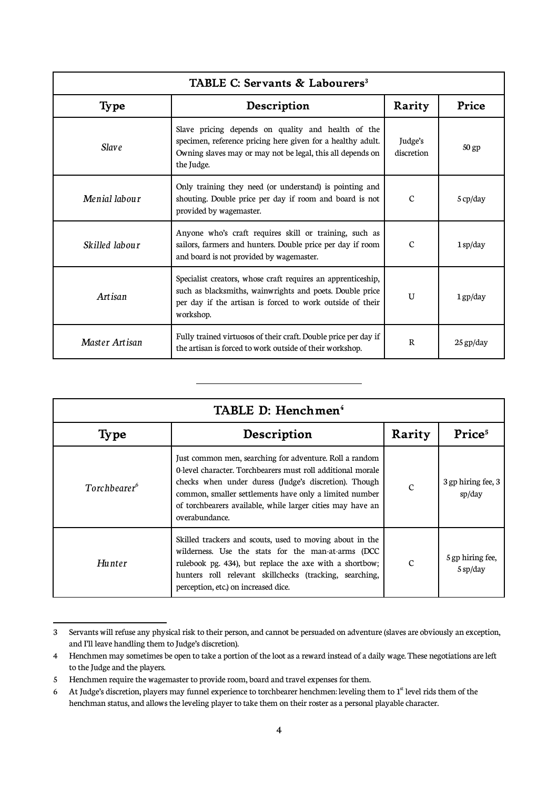| TABLE C: Servants & Labourers <sup>3</sup> |                                                                                                                                                                                                    |                       |                    |
|--------------------------------------------|----------------------------------------------------------------------------------------------------------------------------------------------------------------------------------------------------|-----------------------|--------------------|
| <b>Type</b>                                | Description                                                                                                                                                                                        | Rarity                | Price              |
| <b>Slave</b>                               | Slave pricing depends on quality and health of the<br>specimen, reference pricing here given for a healthy adult.<br>Owning slaves may or may not be legal, this all depends on<br>the Judge.      | Judge's<br>discretion | 50 gp              |
| Menial labour                              | Only training they need (or understand) is pointing and<br>shouting. Double price per day if room and board is not<br>provided by wagemaster.                                                      | $\mathcal{C}$         | $5 \text{ cp/day}$ |
| Skilled labour                             | Anyone who's craft requires skill or training, such as<br>sailors, farmers and hunters. Double price per day if room<br>and board is not provided by wagemaster.                                   | $\mathcal{C}$         | $1$ sp/day         |
| Artisan                                    | Specialist creators, whose craft requires an apprenticeship,<br>such as blacksmiths, wainwrights and poets. Double price<br>per day if the artisan is forced to work outside of their<br>workshop. | $\overline{U}$        | $1$ gp/day         |
| Master Artisan                             | Fully trained virtuosos of their craft. Double price per day if<br>the artisan is forced to work outside of their workshop.                                                                        | $\mathbb{R}$          | $25$ gp/day        |

| TABLE D: Henchmen <sup>4</sup> |                                                                                                                                                                                                                                                                                                                           |               |                              |
|--------------------------------|---------------------------------------------------------------------------------------------------------------------------------------------------------------------------------------------------------------------------------------------------------------------------------------------------------------------------|---------------|------------------------------|
| <b>Type</b>                    | Description                                                                                                                                                                                                                                                                                                               | Rarity        | Price <sup>5</sup>           |
| Torchbearer <sup>6</sup>       | Just common men, searching for adventure. Roll a random<br>0-level character. Torchbearers must roll additional morale<br>checks when under duress (Judge's discretion). Though<br>common, smaller settlements have only a limited number<br>of torchbearers available, while larger cities may have an<br>overabundance. | $\mathcal{C}$ | 3 gp hiring fee, 3<br>sp/day |
| <b>Hunter</b>                  | Skilled trackers and scouts, used to moving about in the<br>wilderness. Use the stats for the man-at-arms (DCC<br>rulebook pg. 434), but replace the axe with a shortbow;<br>hunters roll relevant skillchecks (tracking, searching,<br>perception, etc.) on increased dice.                                              | $\mathcal{C}$ | 5 gp hiring fee,<br>5 sp/day |

<span id="page-3-0"></span><sup>3</sup> Servants will refuse any physical risk to their person, and cannot be persuaded on adventure (slaves are obviously an exception, and I'll leave handling them to Judge's discretion).

<span id="page-3-1"></span><sup>4</sup> Henchmen may sometimes be open to take a portion of the loot as a reward instead of a daily wage. These negotiations are left to the Judge and the players.

<span id="page-3-2"></span><sup>5</sup> Henchmen require the wagemaster to provide room, board and travel expenses for them.

<span id="page-3-3"></span><sup>6</sup> At Judge's discretion, players may funnel experience to torchbearer henchmen: leveling them to  $1<sup>st</sup>$  level rids them of the henchman status, and allows the leveling player to take them on their roster as a personal playable character.